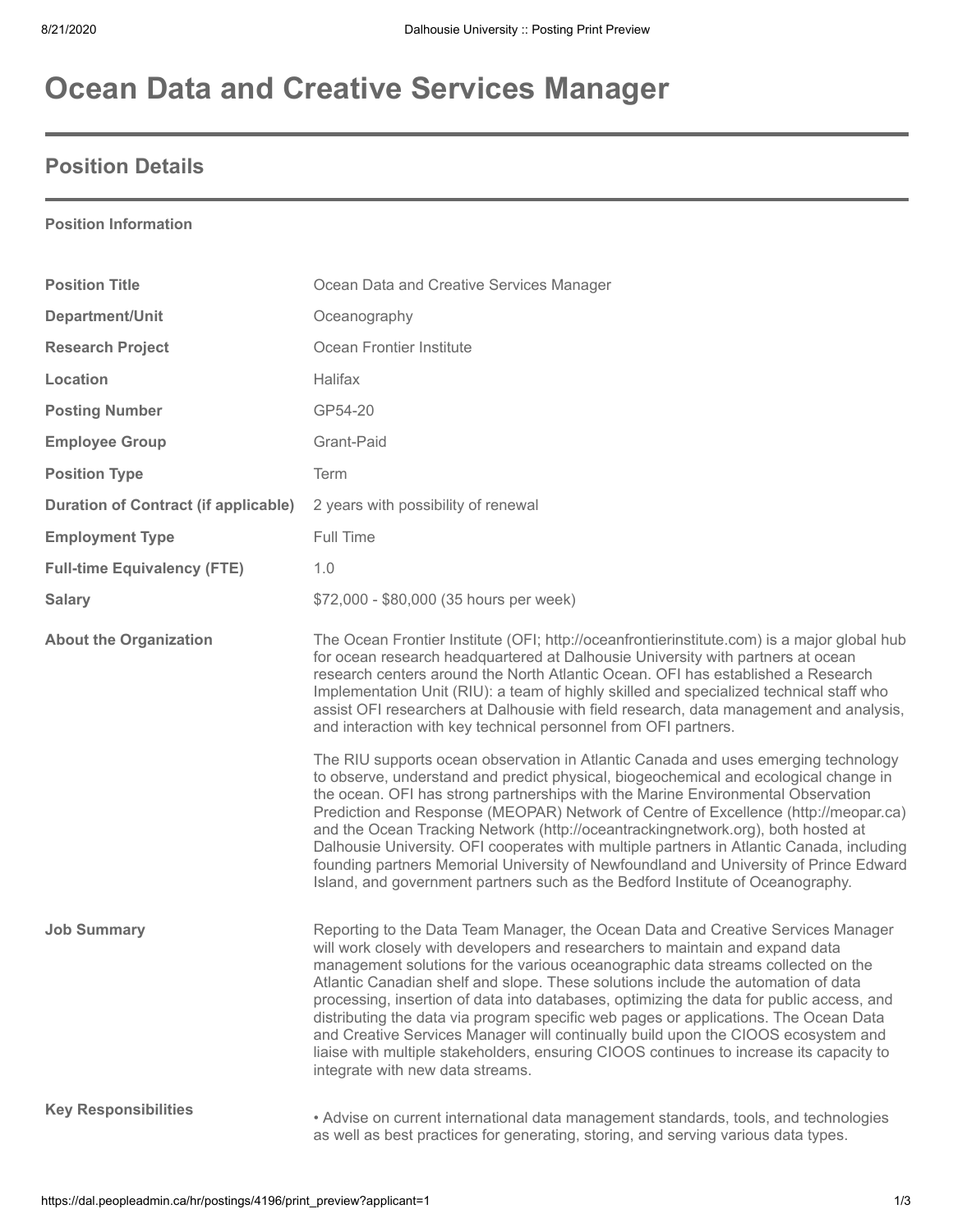# **Ocean Data and Creative Services Manager**

### **Position Details**

### **Position Information**

| <b>Position Title</b>                       | Ocean Data and Creative Services Manager                                                                                                                                                                                                                                                                                                                                                                                                                                                                                                                                                                                                                                                                                                           |
|---------------------------------------------|----------------------------------------------------------------------------------------------------------------------------------------------------------------------------------------------------------------------------------------------------------------------------------------------------------------------------------------------------------------------------------------------------------------------------------------------------------------------------------------------------------------------------------------------------------------------------------------------------------------------------------------------------------------------------------------------------------------------------------------------------|
| Department/Unit                             | Oceanography                                                                                                                                                                                                                                                                                                                                                                                                                                                                                                                                                                                                                                                                                                                                       |
| <b>Research Project</b>                     | Ocean Frontier Institute                                                                                                                                                                                                                                                                                                                                                                                                                                                                                                                                                                                                                                                                                                                           |
| Location                                    | <b>Halifax</b>                                                                                                                                                                                                                                                                                                                                                                                                                                                                                                                                                                                                                                                                                                                                     |
| <b>Posting Number</b>                       | GP54-20                                                                                                                                                                                                                                                                                                                                                                                                                                                                                                                                                                                                                                                                                                                                            |
| <b>Employee Group</b>                       | Grant-Paid                                                                                                                                                                                                                                                                                                                                                                                                                                                                                                                                                                                                                                                                                                                                         |
| <b>Position Type</b>                        | Term                                                                                                                                                                                                                                                                                                                                                                                                                                                                                                                                                                                                                                                                                                                                               |
| <b>Duration of Contract (if applicable)</b> | 2 years with possibility of renewal                                                                                                                                                                                                                                                                                                                                                                                                                                                                                                                                                                                                                                                                                                                |
| <b>Employment Type</b>                      | Full Time                                                                                                                                                                                                                                                                                                                                                                                                                                                                                                                                                                                                                                                                                                                                          |
| <b>Full-time Equivalency (FTE)</b>          | 1.0                                                                                                                                                                                                                                                                                                                                                                                                                                                                                                                                                                                                                                                                                                                                                |
| <b>Salary</b>                               | \$72,000 - \$80,000 (35 hours per week)                                                                                                                                                                                                                                                                                                                                                                                                                                                                                                                                                                                                                                                                                                            |
| <b>About the Organization</b>               | The Ocean Frontier Institute (OFI; http://oceanfrontierinstitute.com) is a major global hub<br>for ocean research headquartered at Dalhousie University with partners at ocean<br>research centers around the North Atlantic Ocean. OFI has established a Research<br>Implementation Unit (RIU): a team of highly skilled and specialized technical staff who<br>assist OFI researchers at Dalhousie with field research, data management and analysis,<br>and interaction with key technical personnel from OFI partners.<br>The RIU supports ocean observation in Atlantic Canada and uses emerging technology                                                                                                                                   |
|                                             | to observe, understand and predict physical, biogeochemical and ecological change in<br>the ocean. OFI has strong partnerships with the Marine Environmental Observation<br>Prediction and Response (MEOPAR) Network of Centre of Excellence (http://meopar.ca)<br>and the Ocean Tracking Network (http://oceantrackingnetwork.org), both hosted at<br>Dalhousie University. OFI cooperates with multiple partners in Atlantic Canada, including<br>founding partners Memorial University of Newfoundland and University of Prince Edward<br>Island, and government partners such as the Bedford Institute of Oceanography.                                                                                                                        |
| <b>Job Summary</b>                          | Reporting to the Data Team Manager, the Ocean Data and Creative Services Manager<br>will work closely with developers and researchers to maintain and expand data<br>management solutions for the various oceanographic data streams collected on the<br>Atlantic Canadian shelf and slope. These solutions include the automation of data<br>processing, insertion of data into databases, optimizing the data for public access, and<br>distributing the data via program specific web pages or applications. The Ocean Data<br>and Creative Services Manager will continually build upon the CIOOS ecosystem and<br>liaise with multiple stakeholders, ensuring CIOOS continues to increase its capacity to<br>integrate with new data streams. |
| <b>Key Responsibilities</b>                 | • Advise on current international data management standards, tools, and technologies<br>as well as best practices for generating, storing, and serving various data types.                                                                                                                                                                                                                                                                                                                                                                                                                                                                                                                                                                         |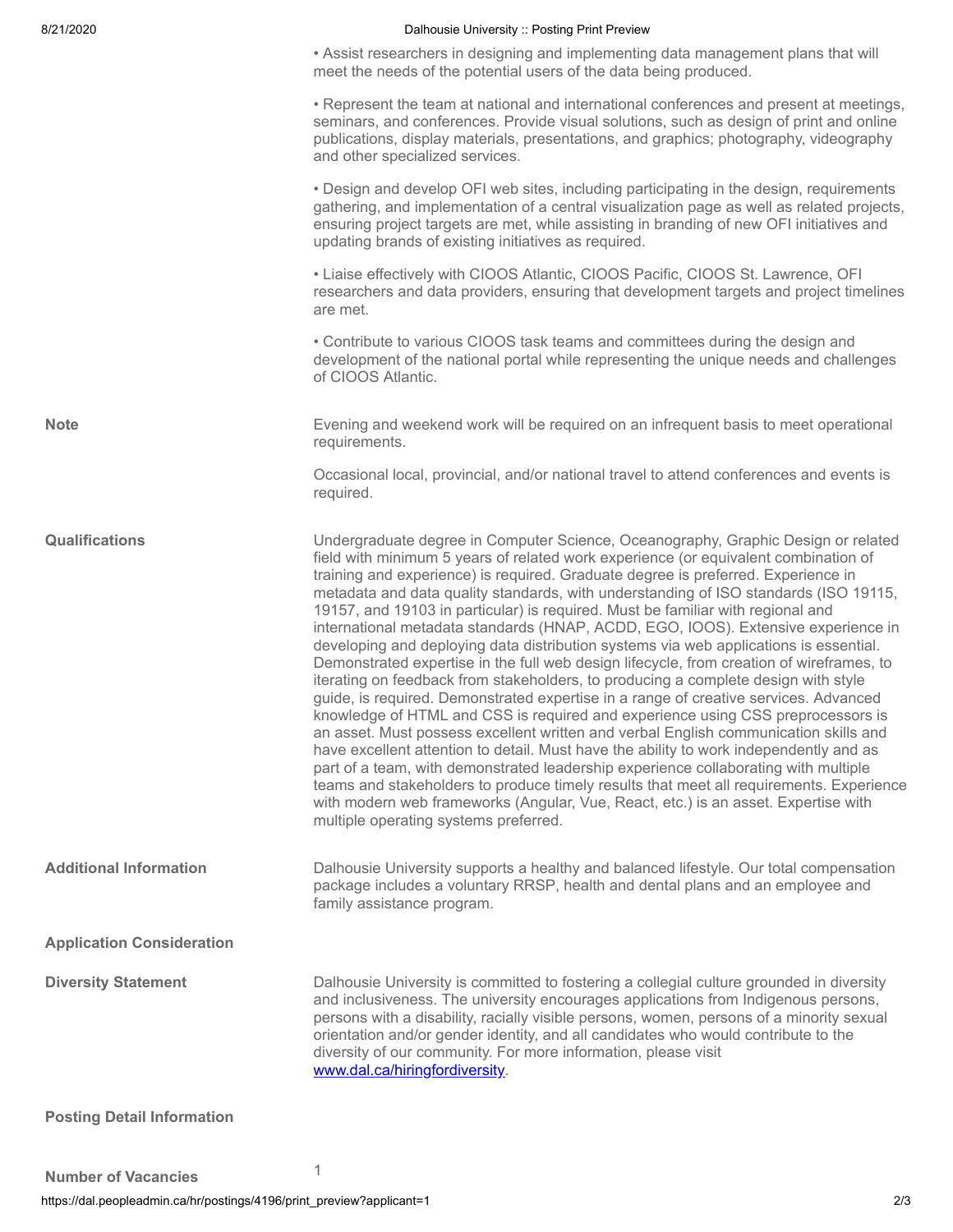#### 8/21/2020 **Dalhousie University :: Posting Print Preview**

• Assist researchers in designing and implementing data management plans that will meet the needs of the potential users of the data being produced.

• Represent the team at national and international conferences and present at meetings, seminars, and conferences. Provide visual solutions, such as design of print and online publications, display materials, presentations, and graphics; photography, videography and other specialized services.

• Design and develop OFI web sites, including participating in the design, requirements gathering, and implementation of a central visualization page as well as related projects, ensuring project targets are met, while assisting in branding of new OFI initiatives and updating brands of existing initiatives as required.

• Liaise effectively with CIOOS Atlantic, CIOOS Pacific, CIOOS St. Lawrence, OFI researchers and data providers, ensuring that development targets and project timelines are met.

• Contribute to various CIOOS task teams and committees during the design and development of the national portal while representing the unique needs and challenges of CIOOS Atlantic.

**Note** Evening and weekend work will be required on an infrequent basis to meet operational requirements.

> Occasional local, provincial, and/or national travel to attend conferences and events is required.

**Qualifications** Undergraduate degree in Computer Science, Oceanography, Graphic Design or related field with minimum 5 years of related work experience (or equivalent combination of training and experience) is required. Graduate degree is preferred. Experience in metadata and data quality standards, with understanding of ISO standards (ISO 19115, 19157, and 19103 in particular) is required. Must be familiar with regional and international metadata standards (HNAP, ACDD, EGO, IOOS). Extensive experience in developing and deploying data distribution systems via web applications is essential. Demonstrated expertise in the full web design lifecycle, from creation of wireframes, to iterating on feedback from stakeholders, to producing a complete design with style guide, is required. Demonstrated expertise in a range of creative services. Advanced knowledge of HTML and CSS is required and experience using CSS preprocessors is an asset. Must possess excellent written and verbal English communication skills and have excellent attention to detail. Must have the ability to work independently and as part of a team, with demonstrated leadership experience collaborating with multiple teams and stakeholders to produce timely results that meet all requirements. Experience with modern web frameworks (Angular, Vue, React, etc.) is an asset. Expertise with multiple operating systems preferred.

**Additional Information** Dalhousie University supports a healthy and balanced lifestyle. Our total compensation package includes a voluntary RRSP, health and dental plans and an employee and family assistance program.

**Application Consideration**

**Diversity Statement** Dalhousie University is committed to fostering a collegial culture grounded in diversity and inclusiveness. The university encourages applications from Indigenous persons, persons with a disability, racially visible persons, women, persons of a minority sexual orientation and/or gender identity, and all candidates who would contribute to the diversity of our community. For more information, please visit [www.dal.ca/hiringfordiversity](https://www.dal.ca/hiringfordiversity).

**Posting Detail Information**